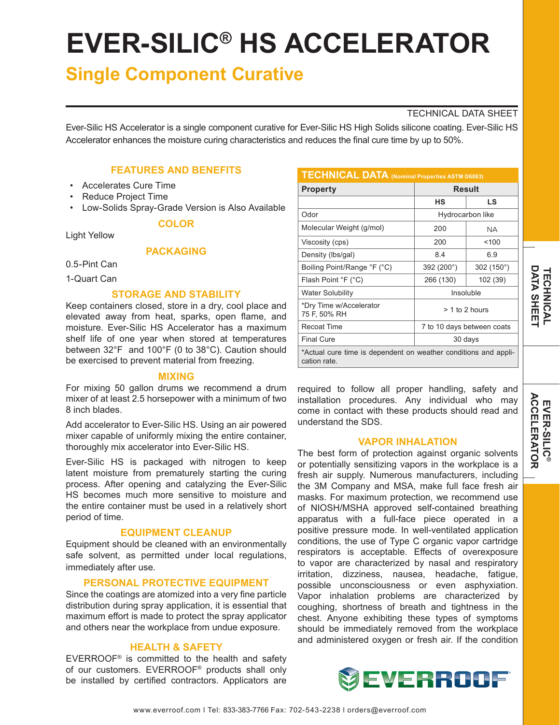# **EVER-SILIC® HS ACCELERATOR**

# **Single Component Curative**

#### TECHNICAL DATA SHEET

Ever-Silic HS Accelerator is a single component curative for Ever-Silic HS High Solids silicone coating. Ever-Silic HS Accelerator enhances the moisture curing characteristics and reduces the final cure time by up to 50%.

# **FEATURES AND BENEFITS**

- Accelerates Cure Time
- Reduce Project Time
- Low-Solids Spray-Grade Version is Also Available **COLOR**

Light Yellow

# **PACKAGING**

0.5-Pint Can

1-Quart Can

### **STORAGE AND STABILITY**

Keep containers closed, store in a dry, cool place and elevated away from heat, sparks, open flame, and moisture. Ever-Silic HS Accelerator has a maximum shelf life of one year when stored at temperatures between 32°F and 100°F (0 to 38°C). Caution should be exercised to prevent material from freezing.

#### **MIXING**

For mixing 50 gallon drums we recommend a drum mixer of at least 2.5 horsepower with a minimum of two 8 inch blades.

Add accelerator to Ever-Silic HS. Using an air powered mixer capable of uniformly mixing the entire container, thoroughly mix accelerator into Ever-Silic HS.

Ever-Silic HS is packaged with nitrogen to keep latent moisture from prematurely starting the curing process. After opening and catalyzing the Ever-Silic HS becomes much more sensitive to moisture and the entire container must be used in a relatively short period of time.

#### **EQUIPMENT CLEANUP**

Equipment should be cleaned with an environmentally safe solvent, as permitted under local regulations, immediately after use.

#### **PERSONAL PROTECTIVE EQUIPMENT**

Since the coatings are atomized into a very fine particle distribution during spray application, it is essential that maximum effort is made to protect the spray applicator and others near the workplace from undue exposure.

#### **HEALTH & SAFETY**

EVERROOF® is committed to the health and safety of our customers. EVERROOF® products shall only be installed by certified contractors. Applicators are

| <b>TECHNICAL DATA (Nominal Properties ASTM D6083)</b>                           |                            |                     |
|---------------------------------------------------------------------------------|----------------------------|---------------------|
| <b>Property</b>                                                                 | <b>Result</b>              |                     |
|                                                                                 | нs                         | LS                  |
| Odor                                                                            | Hydrocarbon like           |                     |
| Molecular Weight (g/mol)                                                        | 200                        | NA.                 |
| Viscosity (cps)                                                                 | 200                        | 100                 |
| Density (Ibs/gal)                                                               | 8.4                        | 6.9                 |
| Boiling Point/Range °F (°C)                                                     | 392 (200°)                 | 302 $(150^{\circ})$ |
| Flash Point °F (°C)                                                             | 266 (130)                  | 102 (39)            |
| <b>Water Solubility</b>                                                         | Insoluble                  |                     |
| *Dry Time w/Accelerator<br>75 F, 50% RH                                         | > 1 to 2 hours             |                     |
| <b>Recoat Time</b>                                                              | 7 to 10 days between coats |                     |
| <b>Final Cure</b>                                                               | 30 days                    |                     |
| *Actual cure time is dependent on weather conditions and appli-<br>cation rate. |                            |                     |

required to follow all proper handling, safety and installation procedures. Any individual who may come in contact with these products should read and understand the SDS.

#### **VAPOR INHALATION**

The best form of protection against organic solvents or potentially sensitizing vapors in the workplace is a fresh air supply. Numerous manufacturers, including the 3M Company and MSA, make full face fresh air masks. For maximum protection, we recommend use of NIOSH/MSHA approved self-contained breathing apparatus with a full-face piece operated in a positive pressure mode. In well-ventilated application conditions, the use of Type C organic vapor cartridge respirators is acceptable. Effects of overexposure to vapor are characterized by nasal and respiratory irritation, dizziness, nausea, headache, fatigue, possible unconsciousness or even asphyxiation. Vapor inhalation problems are characterized by coughing, shortness of breath and tightness in the chest. Anyone exhibiting these types of symptoms should be immediately removed from the workplace and administered oxygen or fresh air. If the condition



## www.everroof.com l Tel: 833-383-7766 Fax: 702-543-2238 l orders@everroof.com

**DATA SHEE DATA SHEET TECHNICAL** *<b>TECHNICAL*